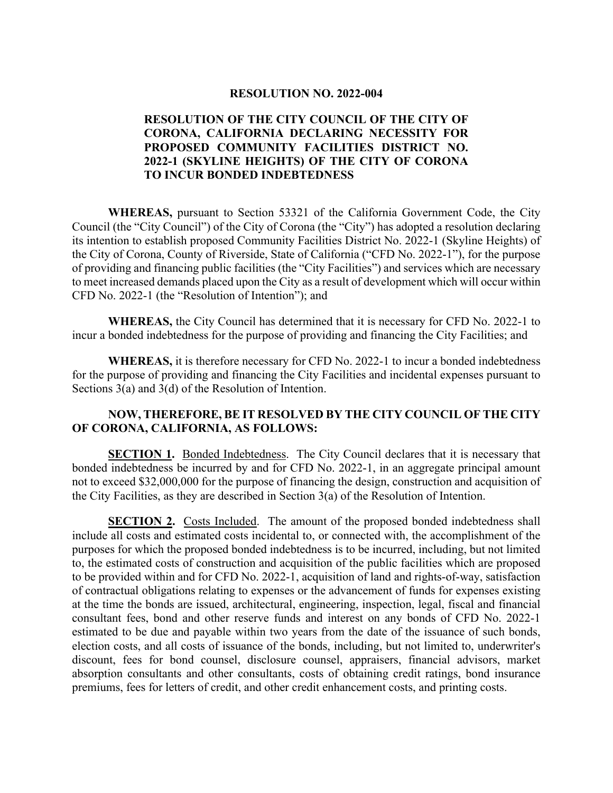#### **RESOLUTION NO. 2022-004**

## **RESOLUTION OF THE CITY COUNCIL OF THE CITY OF CORONA, CALIFORNIA DECLARING NECESSITY FOR PROPOSED COMMUNITY FACILITIES DISTRICT NO. 2022-1 (SKYLINE HEIGHTS) OF THE CITY OF CORONA TO INCUR BONDED INDEBTEDNESS**

**WHEREAS,** pursuant to Section 53321 of the California Government Code, the City Council (the "City Council") of the City of Corona (the "City") has adopted a resolution declaring its intention to establish proposed Community Facilities District No. 2022-1 (Skyline Heights) of the City of Corona, County of Riverside, State of California ("CFD No. 2022-1"), for the purpose of providing and financing public facilities (the "City Facilities") and services which are necessary to meet increased demands placed upon the City as a result of development which will occur within CFD No. 2022-1 (the "Resolution of Intention"); and

**WHEREAS,** the City Council has determined that it is necessary for CFD No. 2022-1 to incur a bonded indebtedness for the purpose of providing and financing the City Facilities; and

**WHEREAS,** it is therefore necessary for CFD No. 2022-1 to incur a bonded indebtedness for the purpose of providing and financing the City Facilities and incidental expenses pursuant to Sections 3(a) and 3(d) of the Resolution of Intention.

## **NOW, THEREFORE, BE IT RESOLVED BY THE CITY COUNCIL OF THE CITY OF CORONA, CALIFORNIA, AS FOLLOWS:**

**SECTION 1.** Bonded Indebtedness. The City Council declares that it is necessary that bonded indebtedness be incurred by and for CFD No. 2022-1, in an aggregate principal amount not to exceed \$32,000,000 for the purpose of financing the design, construction and acquisition of the City Facilities, as they are described in Section 3(a) of the Resolution of Intention.

**SECTION 2.** Costs Included. The amount of the proposed bonded indebtedness shall include all costs and estimated costs incidental to, or connected with, the accomplishment of the purposes for which the proposed bonded indebtedness is to be incurred, including, but not limited to, the estimated costs of construction and acquisition of the public facilities which are proposed to be provided within and for CFD No. 2022-1, acquisition of land and rights-of-way, satisfaction of contractual obligations relating to expenses or the advancement of funds for expenses existing at the time the bonds are issued, architectural, engineering, inspection, legal, fiscal and financial consultant fees, bond and other reserve funds and interest on any bonds of CFD No. 2022-1 estimated to be due and payable within two years from the date of the issuance of such bonds, election costs, and all costs of issuance of the bonds, including, but not limited to, underwriter's discount, fees for bond counsel, disclosure counsel, appraisers, financial advisors, market absorption consultants and other consultants, costs of obtaining credit ratings, bond insurance premiums, fees for letters of credit, and other credit enhancement costs, and printing costs.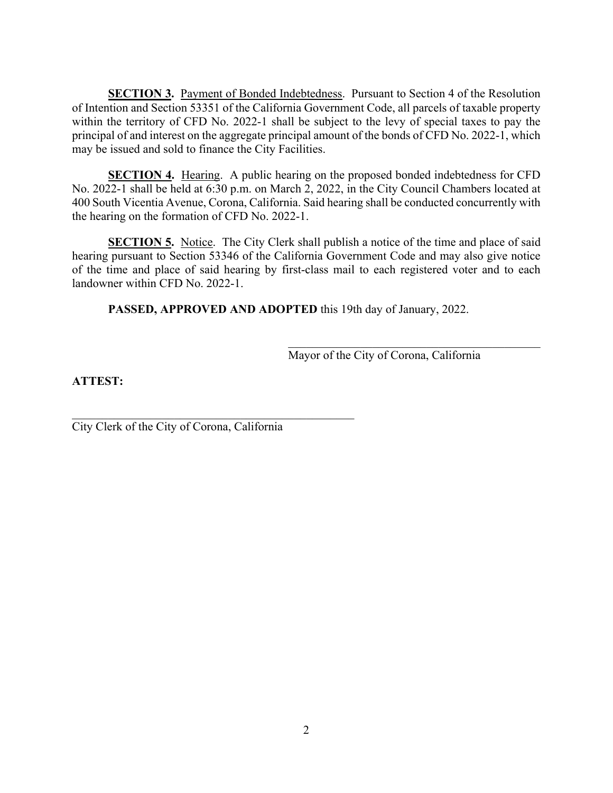**SECTION 3.** Payment of Bonded Indebtedness. Pursuant to Section 4 of the Resolution of Intention and Section 53351 of the California Government Code, all parcels of taxable property within the territory of CFD No. 2022-1 shall be subject to the levy of special taxes to pay the principal of and interest on the aggregate principal amount of the bonds of CFD No. 2022-1, which may be issued and sold to finance the City Facilities.

**SECTION 4.** Hearing. A public hearing on the proposed bonded indebtedness for CFD No. 2022-1 shall be held at 6:30 p.m. on March 2, 2022, in the City Council Chambers located at 400 South Vicentia Avenue, Corona, California. Said hearing shall be conducted concurrently with the hearing on the formation of CFD No. 2022-1.

**SECTION 5.** Notice. The City Clerk shall publish a notice of the time and place of said hearing pursuant to Section 53346 of the California Government Code and may also give notice of the time and place of said hearing by first-class mail to each registered voter and to each landowner within CFD No. 2022-1.

**PASSED, APPROVED AND ADOPTED** this 19th day of January, 2022.

Mayor of the City of Corona, California

**ATTEST:**

City Clerk of the City of Corona, California